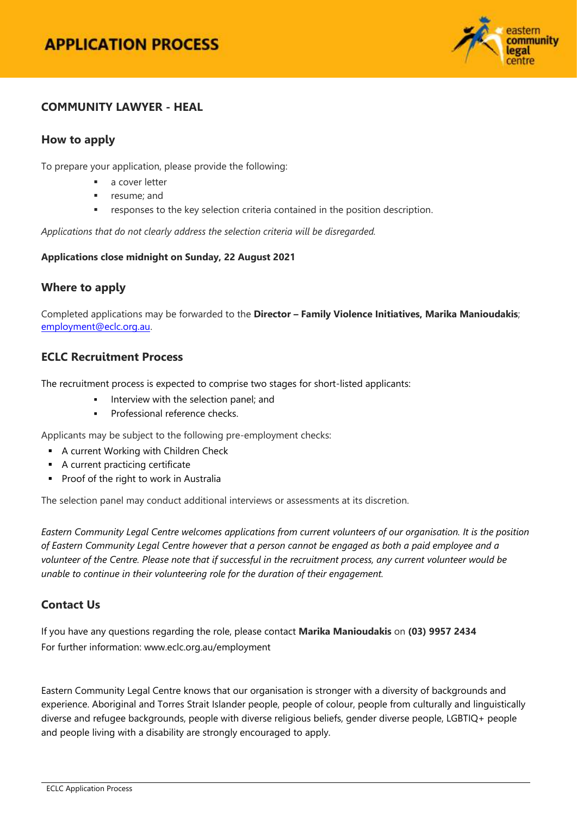# **APPLICATION PROCESS**



## **COMMUNITY LAWYER - HEAL**

## **How to apply**

To prepare your application, please provide the following:

- a cover letter
- resume; and
- responses to the key selection criteria contained in the position description.

*Applications that do not clearly address the selection criteria will be disregarded.*

#### **Applications close midnight on Sunday, 22 August 2021**

### **Where to apply**

Completed applications may be forwarded to the **Director – Family Violence Initiatives, Marika Manioudakis**; [employment@eclc.org.au.](mailto:employment@eclc.org.au)

### **ECLC Recruitment Process**

The recruitment process is expected to comprise two stages for short-listed applicants:

- Interview with the selection panel; and
- Professional reference checks.

Applicants may be subject to the following pre-employment checks:

- **A current Working with Children Check**
- A current practicing certificate
- **Proof of the right to work in Australia**

The selection panel may conduct additional interviews or assessments at its discretion.

*Eastern Community Legal Centre welcomes applications from current volunteers of our organisation. It is the position of Eastern Community Legal Centre however that a person cannot be engaged as both a paid employee and a volunteer of the Centre. Please note that if successful in the recruitment process, any current volunteer would be unable to continue in their volunteering role for the duration of their engagement.*

### **Contact Us**

If you have any questions regarding the role, please contact **Marika Manioudakis** on **(03) 9957 2434** For further information[: www.eclc.org.au/employment](http://www.eclc.org.au/employment)

Eastern Community Legal Centre knows that our organisation is stronger with a diversity of backgrounds and experience. Aboriginal and Torres Strait Islander people, people of colour, people from culturally and linguistically diverse and refugee backgrounds, people with diverse religious beliefs, gender diverse people, LGBTIQ+ people and people living with a disability are strongly encouraged to apply.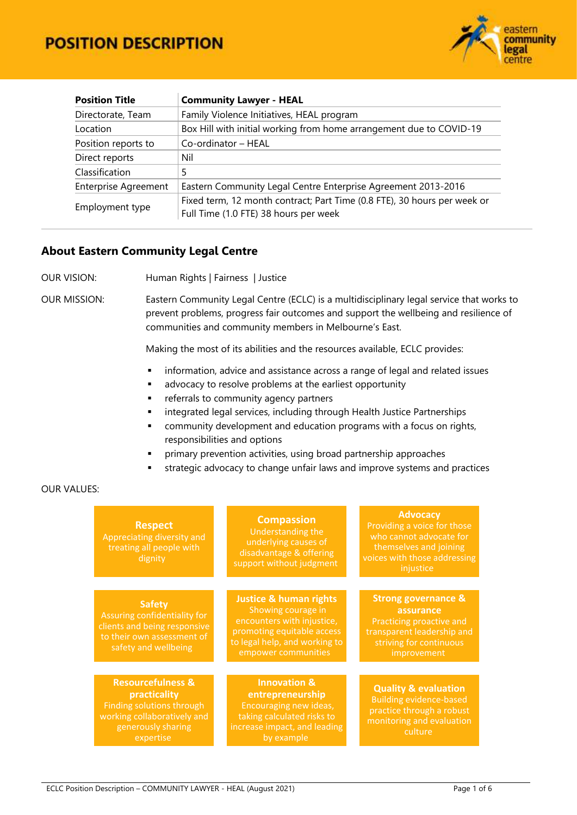

| <b>Position Title</b>                                                                        | <b>Community Lawyer - HEAL</b>                                                                                    |  |  |
|----------------------------------------------------------------------------------------------|-------------------------------------------------------------------------------------------------------------------|--|--|
| Family Violence Initiatives, HEAL program<br>Directorate, Team                               |                                                                                                                   |  |  |
| Location                                                                                     | Box Hill with initial working from home arrangement due to COVID-19                                               |  |  |
| Position reports to                                                                          | Co-ordinator - HEAL                                                                                               |  |  |
| Direct reports                                                                               | Nil                                                                                                               |  |  |
| Classification                                                                               |                                                                                                                   |  |  |
| <b>Enterprise Agreement</b><br>Eastern Community Legal Centre Enterprise Agreement 2013-2016 |                                                                                                                   |  |  |
| Employment type                                                                              | Fixed term, 12 month contract; Part Time (0.8 FTE), 30 hours per week or<br>Full Time (1.0 FTE) 38 hours per week |  |  |

#### **About Eastern Community Legal Centre**

OUR VISION: Human Rights | Fairness | Justice

OUR MISSION: Eastern Community Legal Centre (ECLC) is a multidisciplinary legal service that works to prevent problems, progress fair outcomes and support the wellbeing and resilience of communities and community members in Melbourne's East.

Making the most of its abilities and the resources available, ECLC provides:

- **·** information, advice and assistance across a range of legal and related issues
- **a** advocacy to resolve problems at the earliest opportunity
- **Fig. 2** referrals to community agency partners
- **EXEDENT integrated legal services, including through Health Justice Partnerships**
- community development and education programs with a focus on rights, responsibilities and options
- primary prevention activities, using broad partnership approaches
- strategic advocacy to change unfair laws and improve systems and practices

#### OUR VALUES:

| <b>Respect</b><br>Appreciating diversity and<br>treating all people with<br>dignity                                                         | <b>Compassion</b><br>Understanding the<br>underlying causes of<br>disadvantage & offering<br>support without judgment                                                       | <b>Advocacy</b><br>Providing a voice for those<br>who cannot advocate for<br>themselves and joining<br>voices with those addressing<br>injustice |
|---------------------------------------------------------------------------------------------------------------------------------------------|-----------------------------------------------------------------------------------------------------------------------------------------------------------------------------|--------------------------------------------------------------------------------------------------------------------------------------------------|
|                                                                                                                                             |                                                                                                                                                                             |                                                                                                                                                  |
| <b>Safety</b><br>Assuring confidentiality for<br>clients and being responsive<br>to their own assessment of<br>safety and wellbeing         | <b>Justice &amp; human rights</b><br>Showing courage in<br>encounters with injustice,<br>promoting equitable access<br>to legal help, and working to<br>empower communities | <b>Strong governance &amp;</b><br>assurance<br>Practicing proactive and<br>transparent leadership and<br>striving for continuous<br>improvement  |
|                                                                                                                                             |                                                                                                                                                                             |                                                                                                                                                  |
| <b>Resourcefulness &amp;</b><br>practicality<br>Finding solutions through<br>working collaboratively and<br>generously sharing<br>expertise | <b>Innovation &amp;</b><br>entrepreneurship<br>Encouraging new ideas,<br>taking calculated risks to<br>increase impact, and leading<br>by example                           | <b>Quality &amp; evaluation</b><br><b>Building evidence-based</b><br>practice through a robust<br>monitoring and evaluation<br>culture           |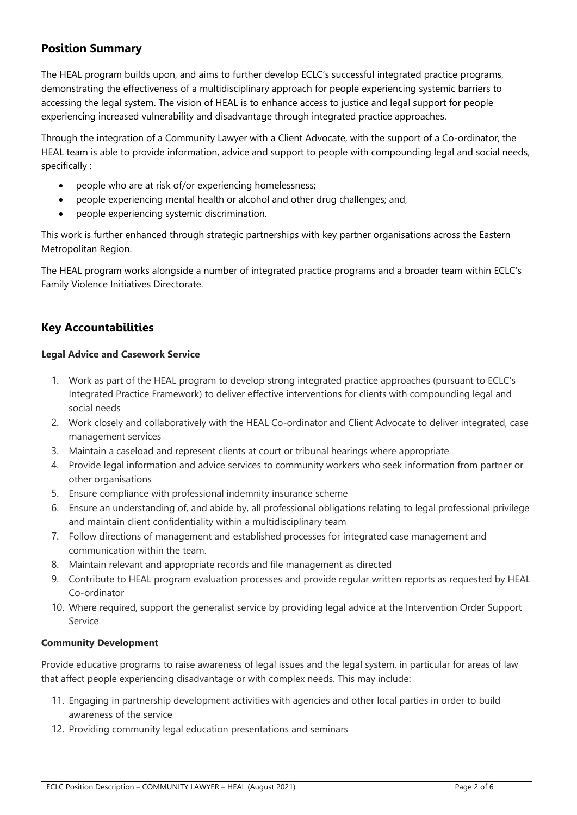## **Position Summary**

The HEAL program builds upon, and aims to further develop ECLC's successful integrated practice programs, demonstrating the effectiveness of a multidisciplinary approach for people experiencing systemic barriers to accessing the legal system. The vision of HEAL is to enhance access to justice and legal support for people experiencing increased vulnerability and disadvantage through integrated practice approaches.

Through the integration of a Community Lawyer with a Client Advocate, with the support of a Co-ordinator, the HEAL team is able to provide information, advice and support to people with compounding legal and social needs, specifically :

- people who are at risk of/or experiencing homelessness;
- people experiencing mental health or alcohol and other drug challenges; and,
- people experiencing systemic discrimination.

This work is further enhanced through strategic partnerships with key partner organisations across the Eastern Metropolitan Region.

The HEAL program works alongside a number of integrated practice programs and a broader team within ECLC's Family Violence Initiatives Directorate.

## **Key Accountabilities**

#### **Legal Advice and Casework Service**

- 1. Work as part of the HEAL program to develop strong integrated practice approaches (pursuant to ECLC's Integrated Practice Framework) to deliver effective interventions for clients with compounding legal and social needs
- 2. Work closely and collaboratively with the HEAL Co-ordinator and Client Advocate to deliver integrated, case management services
- 3. Maintain a caseload and represent clients at court or tribunal hearings where appropriate
- 4. Provide legal information and advice services to community workers who seek information from partner or other organisations
- 5. Ensure compliance with professional indemnity insurance scheme
- 6. Ensure an understanding of, and abide by, all professional obligations relating to legal professional privilege and maintain client confidentiality within a multidisciplinary team
- 7. Follow directions of management and established processes for integrated case management and communication within the team.
- 8. Maintain relevant and appropriate records and file management as directed
- 9. Contribute to HEAL program evaluation processes and provide regular written reports as requested by HEAL Co-ordinator
- 10. Where required, support the generalist service by providing legal advice at the Intervention Order Support Service

#### **Community Development**

Provide educative programs to raise awareness of legal issues and the legal system, in particular for areas of law that affect people experiencing disadvantage or with complex needs. This may include:

- 11. Engaging in partnership development activities with agencies and other local parties in order to build awareness of the service
- 12. Providing community legal education presentations and seminars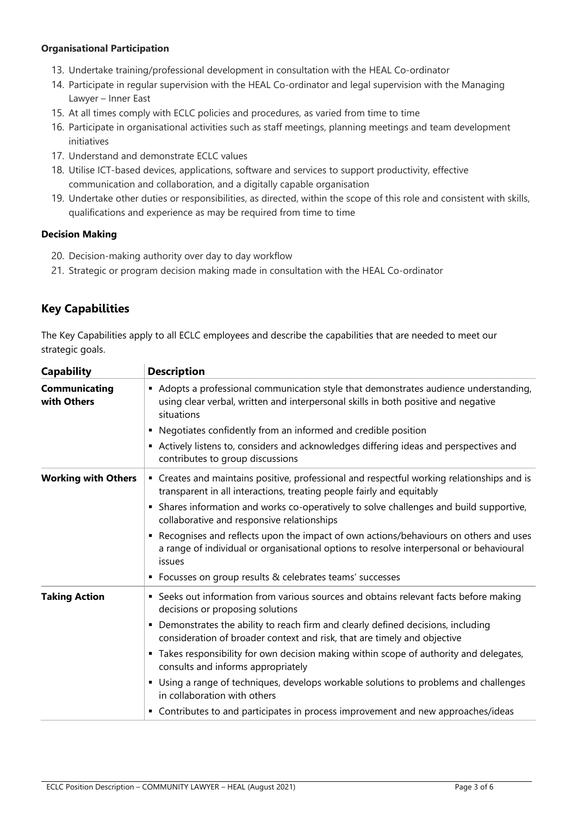#### **Organisational Participation**

- 13. Undertake training/professional development in consultation with the HEAL Co-ordinator
- 14. Participate in regular supervision with the HEAL Co-ordinator and legal supervision with the Managing Lawyer – Inner East
- 15. At all times comply with ECLC policies and procedures, as varied from time to time
- 16. Participate in organisational activities such as staff meetings, planning meetings and team development initiatives
- 17. Understand and demonstrate ECLC values
- 18. Utilise ICT-based devices, applications, software and services to support productivity, effective communication and collaboration, and a digitally capable organisation
- 19. Undertake other duties or responsibilities, as directed, within the scope of this role and consistent with skills, qualifications and experience as may be required from time to time

#### **Decision Making**

- 20. Decision-making authority over day to day workflow
- 21. Strategic or program decision making made in consultation with the HEAL Co-ordinator

## **Key Capabilities**

The Key Capabilities apply to all ECLC employees and describe the capabilities that are needed to meet our strategic goals.

| <b>Capability</b>                   | <b>Description</b>                                                                                                                                                                                                                                              |  |  |  |
|-------------------------------------|-----------------------------------------------------------------------------------------------------------------------------------------------------------------------------------------------------------------------------------------------------------------|--|--|--|
| <b>Communicating</b><br>with Others | • Adopts a professional communication style that demonstrates audience understanding,<br>using clear verbal, written and interpersonal skills in both positive and negative<br>situations<br>Negotiates confidently from an informed and credible position<br>٠ |  |  |  |
|                                     | Actively listens to, considers and acknowledges differing ideas and perspectives and<br>٠<br>contributes to group discussions                                                                                                                                   |  |  |  |
| <b>Working with Others</b>          | • Creates and maintains positive, professional and respectful working relationships and is<br>transparent in all interactions, treating people fairly and equitably                                                                                             |  |  |  |
|                                     | Shares information and works co-operatively to solve challenges and build supportive,<br>٠<br>collaborative and responsive relationships                                                                                                                        |  |  |  |
|                                     | Recognises and reflects upon the impact of own actions/behaviours on others and uses<br>٠<br>a range of individual or organisational options to resolve interpersonal or behavioural<br>issues                                                                  |  |  |  |
|                                     | • Focusses on group results & celebrates teams' successes                                                                                                                                                                                                       |  |  |  |
| <b>Taking Action</b>                | • Seeks out information from various sources and obtains relevant facts before making<br>decisions or proposing solutions                                                                                                                                       |  |  |  |
|                                     | Demonstrates the ability to reach firm and clearly defined decisions, including<br>٠<br>consideration of broader context and risk, that are timely and objective                                                                                                |  |  |  |
|                                     | " Takes responsibility for own decision making within scope of authority and delegates,<br>consults and informs appropriately                                                                                                                                   |  |  |  |
|                                     | Using a range of techniques, develops workable solutions to problems and challenges<br>٠<br>in collaboration with others                                                                                                                                        |  |  |  |
|                                     | • Contributes to and participates in process improvement and new approaches/ideas                                                                                                                                                                               |  |  |  |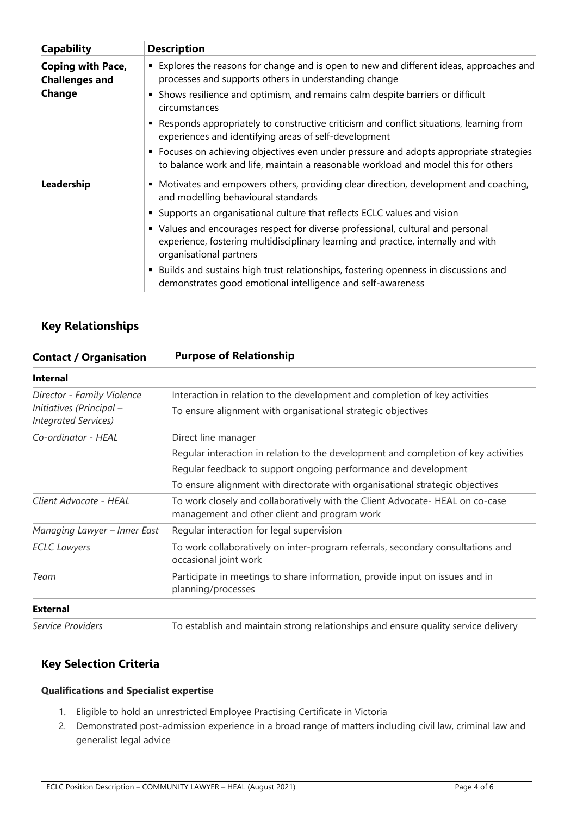| <b>Capability</b>                                 | <b>Description</b>                                                                                                                                                                               |  |  |  |
|---------------------------------------------------|--------------------------------------------------------------------------------------------------------------------------------------------------------------------------------------------------|--|--|--|
| <b>Coping with Pace,</b><br><b>Challenges and</b> | • Explores the reasons for change and is open to new and different ideas, approaches and<br>processes and supports others in understanding change                                                |  |  |  |
| Change                                            | • Shows resilience and optimism, and remains calm despite barriers or difficult<br>circumstances                                                                                                 |  |  |  |
|                                                   | Responds appropriately to constructive criticism and conflict situations, learning from<br>experiences and identifying areas of self-development                                                 |  |  |  |
|                                                   | • Focuses on achieving objectives even under pressure and adopts appropriate strategies<br>to balance work and life, maintain a reasonable workload and model this for others                    |  |  |  |
| Leadership                                        | • Motivates and empowers others, providing clear direction, development and coaching,<br>and modelling behavioural standards                                                                     |  |  |  |
|                                                   | • Supports an organisational culture that reflects ECLC values and vision                                                                                                                        |  |  |  |
|                                                   | • Values and encourages respect for diverse professional, cultural and personal<br>experience, fostering multidisciplinary learning and practice, internally and with<br>organisational partners |  |  |  |
|                                                   | Builds and sustains high trust relationships, fostering openness in discussions and<br>$\blacksquare$<br>demonstrates good emotional intelligence and self-awareness                             |  |  |  |

## **Key Relationships**

| <b>Contact / Organisation</b>                                                                                                                           | <b>Purpose of Relationship</b>                                                                                                                                                                                                                                 |
|---------------------------------------------------------------------------------------------------------------------------------------------------------|----------------------------------------------------------------------------------------------------------------------------------------------------------------------------------------------------------------------------------------------------------------|
| <b>Internal</b>                                                                                                                                         |                                                                                                                                                                                                                                                                |
| Director - Family Violence<br>Initiatives (Principal -<br><b>Integrated Services)</b>                                                                   | Interaction in relation to the development and completion of key activities<br>To ensure alignment with organisational strategic objectives                                                                                                                    |
| Co-ordinator - HEAL                                                                                                                                     | Direct line manager<br>Regular interaction in relation to the development and completion of key activities<br>Regular feedback to support ongoing performance and development<br>To ensure alignment with directorate with organisational strategic objectives |
| Client Advocate - HEAL<br>To work closely and collaboratively with the Client Advocate- HEAL on co-case<br>management and other client and program work |                                                                                                                                                                                                                                                                |
| Managing Lawyer - Inner East                                                                                                                            | Regular interaction for legal supervision                                                                                                                                                                                                                      |
| <b>ECLC Lawyers</b>                                                                                                                                     | To work collaboratively on inter-program referrals, secondary consultations and<br>occasional joint work                                                                                                                                                       |
| Team                                                                                                                                                    | Participate in meetings to share information, provide input on issues and in<br>planning/processes                                                                                                                                                             |
| <b>External</b>                                                                                                                                         |                                                                                                                                                                                                                                                                |
| Service Providers                                                                                                                                       | To establish and maintain strong relationships and ensure quality service delivery                                                                                                                                                                             |

## **Key Selection Criteria**

### **Qualifications and Specialist expertise**

- 1. Eligible to hold an unrestricted Employee Practising Certificate in Victoria
- 2. Demonstrated post-admission experience in a broad range of matters including civil law, criminal law and generalist legal advice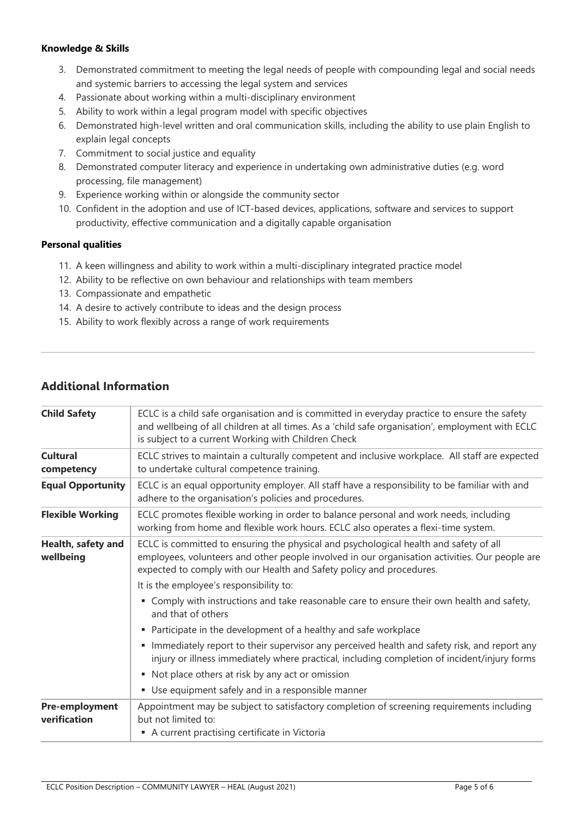#### **Knowledge & Skills**

- 3. Demonstrated commitment to meeting the legal needs of people with compounding legal and social needs and systemic barriers to accessing the legal system and services
- 4. Passionate about working within a multi-disciplinary environment
- 5. Ability to work within a legal program model with specific objectives
- 6. Demonstrated high-level written and oral communication skills, including the ability to use plain English to explain legal concepts
- 7. Commitment to social justice and equality
- 8. Demonstrated computer literacy and experience in undertaking own administrative duties (e.g. word processing, file management)
- 9. Experience working within or alongside the community sector
- 10. Confident in the adoption and use of ICT-based devices, applications, software and services to support productivity, effective communication and a digitally capable organisation

#### **Personal qualities**

- 11. A keen willingness and ability to work within a multi-disciplinary integrated practice model
- 12. Ability to be reflective on own behaviour and relationships with team members
- 13. Compassionate and empathetic
- 14. A desire to actively contribute to ideas and the design process
- 15. Ability to work flexibly across a range of work requirements

## **Additional Information**

| <b>Child Safety</b>                   | ECLC is a child safe organisation and is committed in everyday practice to ensure the safety<br>and wellbeing of all children at all times. As a 'child safe organisation', employment with ECLC<br>is subject to a current Working with Children Check         |  |  |  |
|---------------------------------------|-----------------------------------------------------------------------------------------------------------------------------------------------------------------------------------------------------------------------------------------------------------------|--|--|--|
| <b>Cultural</b><br>competency         | ECLC strives to maintain a culturally competent and inclusive workplace. All staff are expected<br>to undertake cultural competence training.                                                                                                                   |  |  |  |
| <b>Equal Opportunity</b>              | ECLC is an equal opportunity employer. All staff have a responsibility to be familiar with and<br>adhere to the organisation's policies and procedures.                                                                                                         |  |  |  |
| <b>Flexible Working</b>               | ECLC promotes flexible working in order to balance personal and work needs, including<br>working from home and flexible work hours. ECLC also operates a flexi-time system.                                                                                     |  |  |  |
| Health, safety and<br>wellbeing       | ECLC is committed to ensuring the physical and psychological health and safety of all<br>employees, volunteers and other people involved in our organisation activities. Our people are<br>expected to comply with our Health and Safety policy and procedures. |  |  |  |
|                                       | It is the employee's responsibility to:                                                                                                                                                                                                                         |  |  |  |
|                                       | • Comply with instructions and take reasonable care to ensure their own health and safety,<br>and that of others                                                                                                                                                |  |  |  |
|                                       | • Participate in the development of a healthy and safe workplace                                                                                                                                                                                                |  |  |  |
|                                       | Immediately report to their supervisor any perceived health and safety risk, and report any<br>injury or illness immediately where practical, including completion of incident/injury forms                                                                     |  |  |  |
|                                       | • Not place others at risk by any act or omission                                                                                                                                                                                                               |  |  |  |
|                                       | • Use equipment safely and in a responsible manner                                                                                                                                                                                                              |  |  |  |
| <b>Pre-employment</b><br>verification | Appointment may be subject to satisfactory completion of screening requirements including<br>but not limited to:<br>A current practising certificate in Victoria                                                                                                |  |  |  |